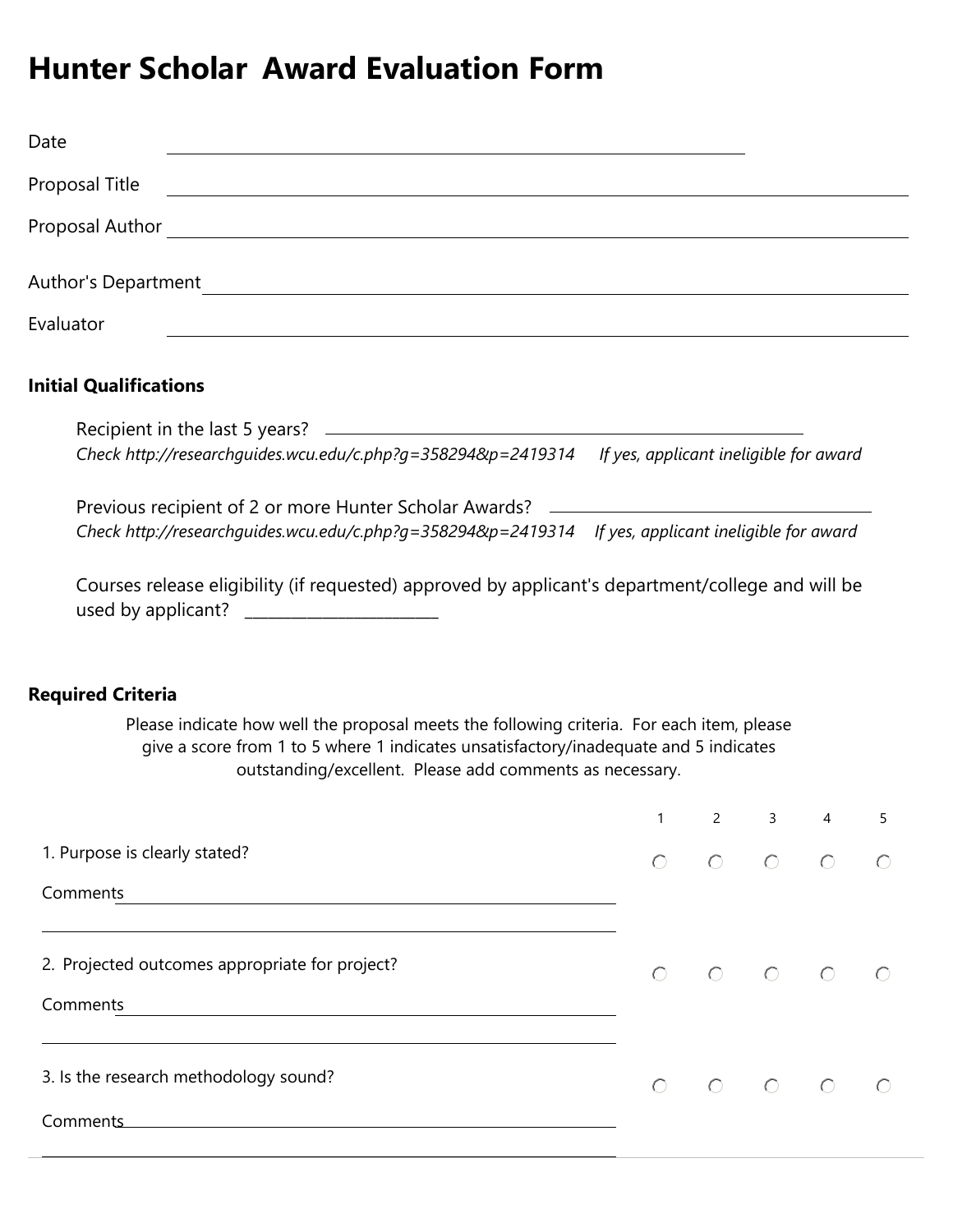## **Hunter Scholar Award Evaluation Form**

| Date                |  |
|---------------------|--|
| Proposal Title      |  |
| Proposal Author     |  |
|                     |  |
| Author's Department |  |
| Evaluator           |  |
|                     |  |

## **Initial Qualifications**

| Recipient in the last 5 years?                                                                      |  |
|-----------------------------------------------------------------------------------------------------|--|
| Check http://researchguides.wcu.edu/c.php?g=358294&p=2419314 If yes, applicant ineligible for award |  |

Previous recipient of 2 or more Hunter Scholar Awards? *[Check http://researchguides.wcu.edu/c.php?g=358294&p=2419314 I](http://researchguides.wcu.edu/c.php?g=358294&p=2419314)f yes, applicant ineligible for award*

Courses release eligibility (if requested) approved by applicant's department/college and will be used by applicant? \_\_\_\_\_\_\_\_\_\_\_\_\_\_\_\_\_\_\_\_\_\_\_\_\_

## **Required Criteria**

Please indicate how well the proposal meets the following criteria. For each item, please give a score from 1 to 5 where 1 indicates unsatisfactory/inadequate and 5 indicates outstanding/excellent. Please add comments as necessary.

|                                                | 1         | $\overline{2}$                                                                                       | 3 | $\overline{4}$ | 5 |
|------------------------------------------------|-----------|------------------------------------------------------------------------------------------------------|---|----------------|---|
| 1. Purpose is clearly stated?                  | $\bigcap$ |                                                                                                      |   |                |   |
| Comments                                       |           |                                                                                                      |   |                |   |
| 2. Projected outcomes appropriate for project? | $\bigcap$ |                                                                                                      |   |                |   |
| Comments                                       |           |                                                                                                      |   |                |   |
| 3. Is the research methodology sound?          |           | $\begin{array}{ccccccccccccccccc} \circ & \circ & \circ & \circ & \circ & \circ & \circ \end{array}$ |   |                |   |
| Comments                                       |           |                                                                                                      |   |                |   |